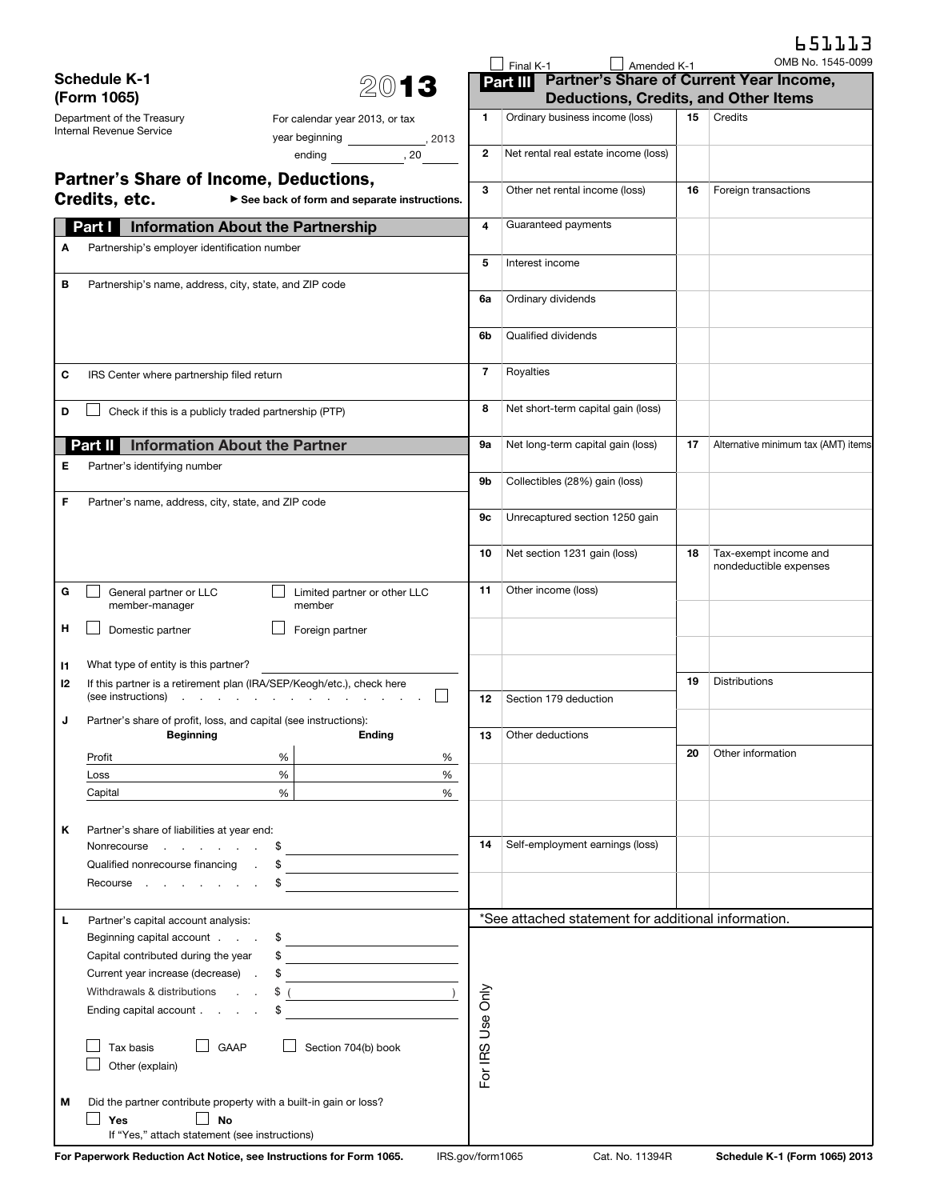|                                            |                                                                                      |                                                                                                                      |                                             | $\Box$ Final K-1    | Amended K-1                                         |                                         | OMB No. 1545-0099                   |
|--------------------------------------------|--------------------------------------------------------------------------------------|----------------------------------------------------------------------------------------------------------------------|---------------------------------------------|---------------------|-----------------------------------------------------|-----------------------------------------|-------------------------------------|
| <b>Schedule K-1</b><br>2013<br>(Form 1065) |                                                                                      |                                                                                                                      | Part III                                    |                     |                                                     | Partner's Share of Current Year Income, |                                     |
|                                            |                                                                                      |                                                                                                                      | <b>Deductions, Credits, and Other Items</b> |                     |                                                     |                                         |                                     |
|                                            | Department of the Treasury                                                           | For calendar year 2013, or tax                                                                                       | 1                                           |                     | Ordinary business income (loss)                     | 15                                      | Credits                             |
|                                            | Internal Revenue Service                                                             |                                                                                                                      |                                             |                     |                                                     |                                         |                                     |
|                                            |                                                                                      | year beginning $\frac{1}{2013}$ , 2013                                                                               |                                             |                     |                                                     |                                         |                                     |
|                                            |                                                                                      |                                                                                                                      | 2                                           |                     | Net rental real estate income (loss)                |                                         |                                     |
|                                            | <b>Partner's Share of Income, Deductions,</b>                                        |                                                                                                                      |                                             |                     |                                                     |                                         |                                     |
|                                            | Credits, etc.                                                                        | See back of form and separate instructions.                                                                          | 3                                           |                     | Other net rental income (loss)                      | 16                                      | Foreign transactions                |
|                                            |                                                                                      |                                                                                                                      |                                             |                     |                                                     |                                         |                                     |
|                                            | Part I<br><b>Information About the Partnership</b>                                   |                                                                                                                      | 4                                           |                     | Guaranteed payments                                 |                                         |                                     |
| A                                          | Partnership's employer identification number                                         |                                                                                                                      |                                             |                     |                                                     |                                         |                                     |
|                                            |                                                                                      |                                                                                                                      | 5                                           | Interest income     |                                                     |                                         |                                     |
| в                                          | Partnership's name, address, city, state, and ZIP code                               |                                                                                                                      |                                             |                     |                                                     |                                         |                                     |
|                                            |                                                                                      |                                                                                                                      | 6a                                          |                     | Ordinary dividends                                  |                                         |                                     |
|                                            |                                                                                      |                                                                                                                      |                                             |                     |                                                     |                                         |                                     |
|                                            |                                                                                      |                                                                                                                      |                                             |                     |                                                     |                                         |                                     |
|                                            |                                                                                      |                                                                                                                      | 6b                                          |                     | Qualified dividends                                 |                                         |                                     |
|                                            |                                                                                      |                                                                                                                      |                                             |                     |                                                     |                                         |                                     |
| С                                          | IRS Center where partnership filed return                                            |                                                                                                                      | 7                                           | Royalties           |                                                     |                                         |                                     |
|                                            |                                                                                      |                                                                                                                      |                                             |                     |                                                     |                                         |                                     |
| D                                          | Check if this is a publicly traded partnership (PTP)                                 |                                                                                                                      | 8                                           |                     | Net short-term capital gain (loss)                  |                                         |                                     |
|                                            |                                                                                      |                                                                                                                      |                                             |                     |                                                     |                                         |                                     |
|                                            | <b>Information About the Partner</b><br>Part II                                      |                                                                                                                      | 9а                                          |                     | Net long-term capital gain (loss)                   | 17                                      | Alternative minimum tax (AMT) items |
|                                            |                                                                                      |                                                                                                                      |                                             |                     |                                                     |                                         |                                     |
| Е                                          | Partner's identifying number                                                         |                                                                                                                      | 9b                                          |                     | Collectibles (28%) gain (loss)                      |                                         |                                     |
|                                            |                                                                                      |                                                                                                                      |                                             |                     |                                                     |                                         |                                     |
| F                                          | Partner's name, address, city, state, and ZIP code                                   |                                                                                                                      |                                             |                     |                                                     |                                         |                                     |
|                                            |                                                                                      |                                                                                                                      | 9с                                          |                     | Unrecaptured section 1250 gain                      |                                         |                                     |
|                                            |                                                                                      |                                                                                                                      |                                             |                     |                                                     |                                         |                                     |
|                                            |                                                                                      |                                                                                                                      | 10                                          |                     | Net section 1231 gain (loss)                        | 18                                      | Tax-exempt income and               |
|                                            |                                                                                      |                                                                                                                      |                                             |                     |                                                     |                                         | nondeductible expenses              |
| G                                          | General partner or LLC                                                               | Limited partner or other LLC                                                                                         | 11                                          |                     | Other income (loss)                                 |                                         |                                     |
|                                            | member-manager<br>member                                                             |                                                                                                                      |                                             |                     |                                                     |                                         |                                     |
|                                            |                                                                                      |                                                                                                                      |                                             |                     |                                                     |                                         |                                     |
| н                                          | Domestic partner<br>Foreign partner                                                  |                                                                                                                      |                                             |                     |                                                     |                                         |                                     |
|                                            |                                                                                      |                                                                                                                      |                                             |                     |                                                     |                                         |                                     |
| 11                                         | What type of entity is this partner?                                                 |                                                                                                                      |                                             |                     |                                                     |                                         |                                     |
| 12                                         | If this partner is a retirement plan (IRA/SEP/Keogh/etc.), check here                |                                                                                                                      |                                             |                     |                                                     | 19                                      | <b>Distributions</b>                |
|                                            |                                                                                      |                                                                                                                      | 12                                          |                     | Section 179 deduction                               |                                         |                                     |
| J                                          | Partner's share of profit, loss, and capital (see instructions):                     |                                                                                                                      |                                             |                     |                                                     |                                         |                                     |
|                                            | <b>Beginning Example 20</b>                                                          | Ending                                                                                                               |                                             | 13 Other deductions |                                                     |                                         |                                     |
|                                            | %<br>Profit                                                                          | %                                                                                                                    |                                             |                     |                                                     | 20                                      | Other information                   |
|                                            | $\%$<br>Loss                                                                         | $\%$                                                                                                                 |                                             |                     |                                                     |                                         |                                     |
|                                            | %                                                                                    | %                                                                                                                    |                                             |                     |                                                     |                                         |                                     |
|                                            | Capital                                                                              |                                                                                                                      |                                             |                     |                                                     |                                         |                                     |
|                                            |                                                                                      |                                                                                                                      |                                             |                     |                                                     |                                         |                                     |
| Κ                                          | Partner's share of liabilities at year end:                                          |                                                                                                                      |                                             |                     |                                                     |                                         |                                     |
|                                            | Nonrecourse                                                                          | <u> 1989 - Johann Barn, mars eta bainar eta idazlea (</u>                                                            | 14                                          |                     | Self-employment earnings (loss)                     |                                         |                                     |
|                                            | Qualified nonrecourse financing .                                                    |                                                                                                                      |                                             |                     |                                                     |                                         |                                     |
|                                            | Recourse                                                                             | <u> 1980 - Jan Barat, martin a</u>                                                                                   |                                             |                     |                                                     |                                         |                                     |
|                                            |                                                                                      |                                                                                                                      |                                             |                     |                                                     |                                         |                                     |
| г                                          | Partner's capital account analysis:                                                  |                                                                                                                      |                                             |                     | *See attached statement for additional information. |                                         |                                     |
|                                            | Beginning capital account<br><u>and the control of the control of the control of</u> |                                                                                                                      |                                             |                     |                                                     |                                         |                                     |
|                                            | Capital contributed during the year                                                  |                                                                                                                      |                                             |                     |                                                     |                                         |                                     |
|                                            |                                                                                      |                                                                                                                      |                                             |                     |                                                     |                                         |                                     |
|                                            | Current year increase (decrease).                                                    | <u> 1989 - Johann Barn, mars ann an t-Amhain Aonaich an t-Aonaich an t-Aonaich ann an t-Aonaich ann an t-Aonaich</u> |                                             |                     |                                                     |                                         |                                     |
|                                            | Withdrawals & distributions<br><b>Contract Contract</b>                              | $\overline{1}$                                                                                                       | For IRS Use Only                            |                     |                                                     |                                         |                                     |
|                                            | Ending capital account                                                               |                                                                                                                      |                                             |                     |                                                     |                                         |                                     |
|                                            |                                                                                      |                                                                                                                      |                                             |                     |                                                     |                                         |                                     |
|                                            | GAAP<br>Tax basis                                                                    | Section 704(b) book                                                                                                  |                                             |                     |                                                     |                                         |                                     |
|                                            | Other (explain)                                                                      |                                                                                                                      |                                             |                     |                                                     |                                         |                                     |
|                                            |                                                                                      |                                                                                                                      |                                             |                     |                                                     |                                         |                                     |
|                                            |                                                                                      |                                                                                                                      |                                             |                     |                                                     |                                         |                                     |
| м                                          | Did the partner contribute property with a built-in gain or loss?                    |                                                                                                                      |                                             |                     |                                                     |                                         |                                     |
|                                            | $\mathsf{L}$<br><b>No</b><br>Yes                                                     |                                                                                                                      |                                             |                     |                                                     |                                         |                                     |
|                                            | If "Yes," attach statement (see instructions)                                        |                                                                                                                      |                                             |                     |                                                     |                                         |                                     |

651113